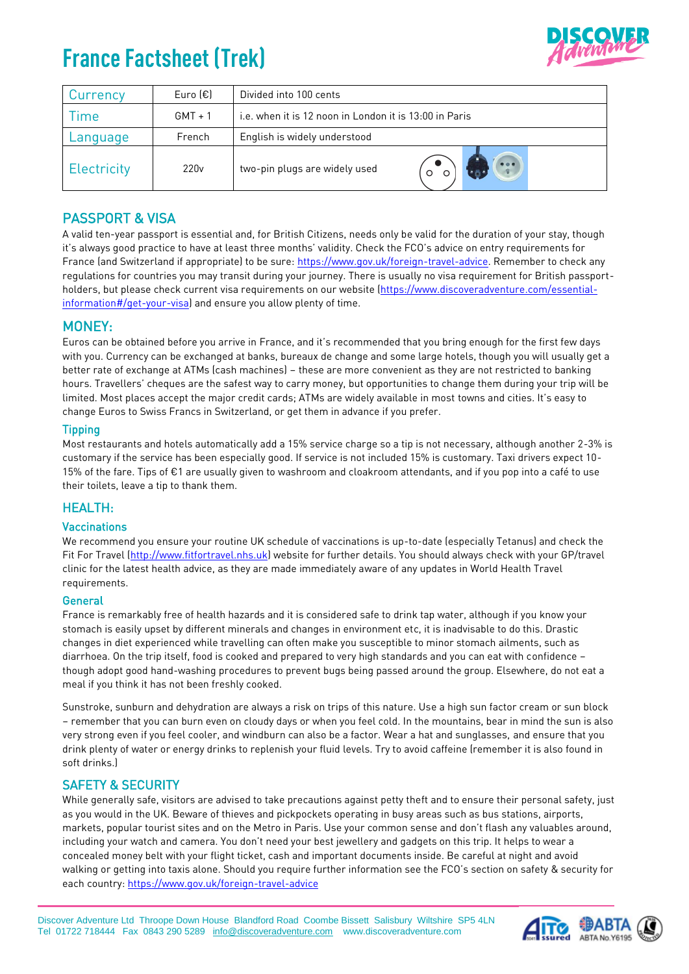# **France Factsheet (Trek)**



| Currency    | Euro $(\epsilon)$ | Divided into 100 cents                                 |  |  |  |  |  |
|-------------|-------------------|--------------------------------------------------------|--|--|--|--|--|
| <b>Ime</b>  | $GMT + 1$         | i.e. when it is 12 noon in London it is 13:00 in Paris |  |  |  |  |  |
| Language    | French            | English is widely understood                           |  |  |  |  |  |
| Electricity | 220 <sub>v</sub>  | two-pin plugs are widely used                          |  |  |  |  |  |

## PASSPORT & VISA

A valid ten-year passport is essential and, for British Citizens, needs only be valid for the duration of your stay, though it's always good practice to have at least three months' validity. Check the FCO's advice on entry requirements for France (and Switzerland if appropriate) to be sure: [https://www.gov.uk/foreign-travel-advice.](https://www.gov.uk/foreign-travel-advice) Remember to check any regulations for countries you may transit during your journey. There is usually no visa requirement for British passportholders, but please check current visa requirements on our website [\(https://www.discoveradventure.com/essential](https://www.discoveradventure.com/essential-information#/get-your-visa)[information#/get-your-visa\)](https://www.discoveradventure.com/essential-information#/get-your-visa) and ensure you allow plenty of time.

## MONEY:

Euros can be obtained before you arrive in France, and it's recommended that you bring enough for the first few days with you. Currency can be exchanged at banks, bureaux de change and some large hotels, though you will usually get a better rate of exchange at ATMs (cash machines) – these are more convenient as they are not restricted to banking hours. Travellers' cheques are the safest way to carry money, but opportunities to change them during your trip will be limited. Most places accept the major credit cards; ATMs are widely available in most towns and cities. It's easy to change Euros to Swiss Francs in Switzerland, or get them in advance if you prefer.

#### **Tipping**

Most restaurants and hotels automatically add a 15% service charge so a tip is not necessary, although another 2-3% is customary if the service has been especially good. If service is not included 15% is customary. Taxi drivers expect 10- 15% of the fare. Tips of €1 are usually given to washroom and cloakroom attendants, and if you pop into a café to use their toilets, leave a tip to thank them.

## HEALTH:

#### Vaccinations

We recommend you ensure your routine UK schedule of vaccinations is up-to-date (especially Tetanus) and check the Fit For Travel [\(http://www.fitfortravel.nhs.uk\)](http://www.fitfortravel.nhs.uk/) website for further details. You should always check with your GP/travel clinic for the latest health advice, as they are made immediately aware of any updates in World Health Travel requirements.

#### **General**

France is remarkably free of health hazards and it is considered safe to drink tap water, although if you know your stomach is easily upset by different minerals and changes in environment etc, it is inadvisable to do this. Drastic changes in diet experienced while travelling can often make you susceptible to minor stomach ailments, such as diarrhoea. On the trip itself, food is cooked and prepared to very high standards and you can eat with confidence – though adopt good hand-washing procedures to prevent bugs being passed around the group. Elsewhere, do not eat a meal if you think it has not been freshly cooked.

Sunstroke, sunburn and dehydration are always a risk on trips of this nature. Use a high sun factor cream or sun block – remember that you can burn even on cloudy days or when you feel cold. In the mountains, bear in mind the sun is also very strong even if you feel cooler, and windburn can also be a factor. Wear a hat and sunglasses, and ensure that you drink plenty of water or energy drinks to replenish your fluid levels. Try to avoid caffeine (remember it is also found in soft drinks.)

### SAFETY & SECURITY

While generally safe, visitors are advised to take precautions against petty theft and to ensure their personal safety, just as you would in the UK. Beware of thieves and pickpockets operating in busy areas such as bus stations, airports, markets, popular tourist sites and on the Metro in Paris. Use your common sense and don't flash any valuables around, including your watch and camera. You don't need your best jewellery and gadgets on this trip. It helps to wear a concealed money belt with your flight ticket, cash and important documents inside. Be careful at night and avoid walking or getting into taxis alone. Should you require further information see the FCO's section on safety & security for each country[: https://www.gov.uk/foreign-travel-advice](https://www.gov.uk/foreign-travel-advice)